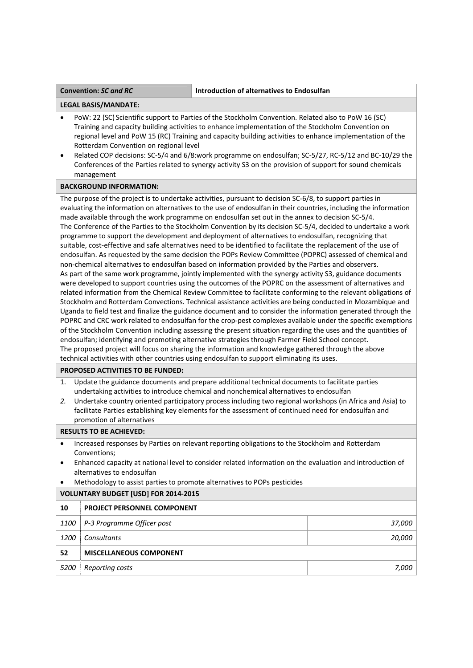## **Convention:** *SC and RC* **Introduction of alternatives to Endosulfan**

# **LEGAL BASIS/MANDATE:**

- PoW: 22 (SC) Scientific support to Parties of the Stockholm Convention. Related also to PoW 16 (SC) Training and capacity building activities to enhance implementation of the Stockholm Convention on regional level and PoW 15 (RC) Training and capacity building activities to enhance implementation of the Rotterdam Convention on regional level
- Related COP decisions: SC‐5/4 and 6/8:work programme on endosulfan; SC‐5/27, RC‐5/12 and BC‐10/29 the Conferences of the Parties related to synergy activity S3 on the provision of support for sound chemicals management

### **BACKGROUND INFORMATION:**

The purpose of the project is to undertake activities, pursuant to decision SC-6/8, to support parties in evaluating the information on alternatives to the use of endosulfan in their countries, including the information made available through the work programme on endosulfan set out in the annex to decision SC-5/4. The Conference of the Parties to the Stockholm Convention by its decision SC-5/4, decided to undertake a work programme to support the development and deployment of alternatives to endosulfan, recognizing that suitable, cost-effective and safe alternatives need to be identified to facilitate the replacement of the use of endosulfan. As requested by the same decision the POPs Review Committee (POPRC) assessed of chemical and non‐chemical alternatives to endosulfan based on information provided by the Parties and observers. As part of the same work programme, jointly implemented with the synergy activity S3, guidance documents were developed to support countries using the outcomes of the POPRC on the assessment of alternatives and related information from the Chemical Review Committee to facilitate conforming to the relevant obligations of Stockholm and Rotterdam Convections. Technical assistance activities are being conducted in Mozambique and Uganda to field test and finalize the guidance document and to consider the information generated through the POPRC and CRC work related to endosulfan for the crop-pest complexes available under the specific exemptions of the Stockholm Convention including assessing the present situation regarding the uses and the quantities of endosulfan; identifying and promoting alternative strategies through Farmer Field School concept. The proposed project will focus on sharing the information and knowledge gathered through the above technical activities with other countries using endosulfan to support eliminating its uses.

#### **PROPOSED ACTIVITIES TO BE FUNDED:**

- 1. Update the guidance documents and prepare additional technical documents to facilitate parties undertaking activities to introduce chemical and nonchemical alternatives to endosulfan
- *2.* Undertake country oriented participatory process including two regional workshops (in Africa and Asia) to facilitate Parties establishing key elements for the assessment of continued need for endosulfan and promotion of alternatives

#### **RESULTS TO BE ACHIEVED:**

- Increased responses by Parties on relevant reporting obligations to the Stockholm and Rotterdam Conventions;
- Enhanced capacity at national level to consider related information on the evaluation and introduction of alternatives to endosulfan
- Methodology to assist parties to promote alternatives to POPs pesticides

| <b>VOLUNTARY BUDGET [USD] FOR 2014-2015</b> |                                    |        |  |
|---------------------------------------------|------------------------------------|--------|--|
| 10                                          | <b>PROJECT PERSONNEL COMPONENT</b> |        |  |
| 1100                                        | P-3 Programme Officer post         | 37,000 |  |
| <i>1200</i>                                 | <b>Consultants</b>                 | 20,000 |  |
| 52                                          | <b>MISCELLANEOUS COMPONENT</b>     |        |  |
| 5200                                        | Reporting costs                    | 7,000  |  |
|                                             |                                    |        |  |